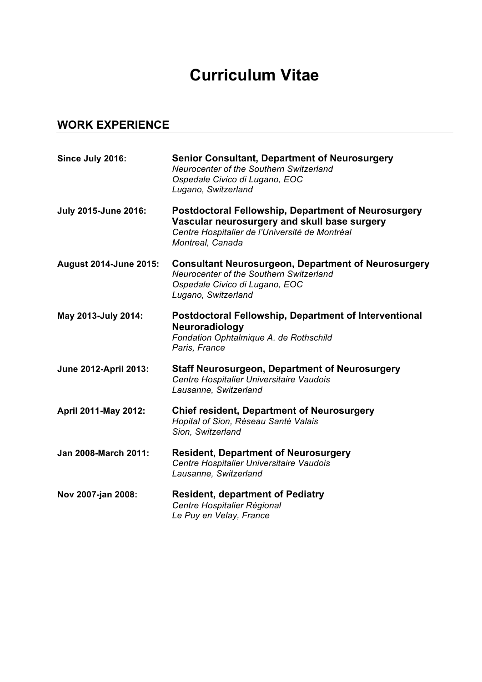## **Curriculum Vitae**

## **WORK EXPERIENCE**

| Since July 2016:              | <b>Senior Consultant, Department of Neurosurgery</b><br>Neurocenter of the Southern Switzerland<br>Ospedale Civico di Lugano, EOC<br>Lugano, Switzerland                         |
|-------------------------------|----------------------------------------------------------------------------------------------------------------------------------------------------------------------------------|
| <b>July 2015-June 2016:</b>   | <b>Postdoctoral Fellowship, Department of Neurosurgery</b><br>Vascular neurosurgery and skull base surgery<br>Centre Hospitalier de l'Université de Montréal<br>Montreal, Canada |
| <b>August 2014-June 2015:</b> | <b>Consultant Neurosurgeon, Department of Neurosurgery</b><br>Neurocenter of the Southern Switzerland<br>Ospedale Civico di Lugano, EOC<br>Lugano, Switzerland                   |
| May 2013-July 2014:           | <b>Postdoctoral Fellowship, Department of Interventional</b><br>Neuroradiology<br>Fondation Ophtalmique A. de Rothschild<br>Paris, France                                        |
| <b>June 2012-April 2013:</b>  | <b>Staff Neurosurgeon, Department of Neurosurgery</b><br>Centre Hospitalier Universitaire Vaudois<br>Lausanne, Switzerland                                                       |
| April 2011-May 2012:          | <b>Chief resident, Department of Neurosurgery</b><br>Hopital of Sion, Réseau Santé Valais<br>Sion, Switzerland                                                                   |
| <b>Jan 2008-March 2011:</b>   | <b>Resident, Department of Neurosurgery</b><br>Centre Hospitalier Universitaire Vaudois<br>Lausanne, Switzerland                                                                 |
| Nov 2007-jan 2008:            | <b>Resident, department of Pediatry</b><br>Centre Hospitalier Régional<br>Le Puy en Velay, France                                                                                |